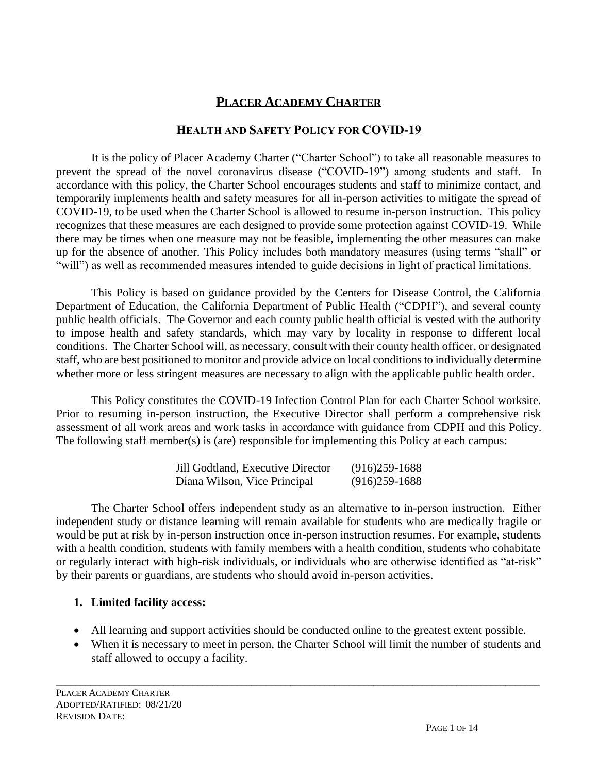#### **PLACER ACADEMY CHARTER**

#### **HEALTH AND SAFETY POLICY FOR COVID-19**

It is the policy of Placer Academy Charter ("Charter School") to take all reasonable measures to prevent the spread of the novel coronavirus disease ("COVID-19") among students and staff. In accordance with this policy, the Charter School encourages students and staff to minimize contact, and temporarily implements health and safety measures for all in-person activities to mitigate the spread of COVID-19, to be used when the Charter School is allowed to resume in-person instruction. This policy recognizes that these measures are each designed to provide some protection against COVID-19. While there may be times when one measure may not be feasible, implementing the other measures can make up for the absence of another. This Policy includes both mandatory measures (using terms "shall" or "will") as well as recommended measures intended to guide decisions in light of practical limitations.

This Policy is based on guidance provided by the Centers for Disease Control, the California Department of Education, the California Department of Public Health ("CDPH"), and several county public health officials. The Governor and each county public health official is vested with the authority to impose health and safety standards, which may vary by locality in response to different local conditions. The Charter School will, as necessary, consult with their county health officer, or designated staff, who are best positioned to monitor and provide advice on local conditions to individually determine whether more or less stringent measures are necessary to align with the applicable public health order.

This Policy constitutes the COVID-19 Infection Control Plan for each Charter School worksite. Prior to resuming in-person instruction, the Executive Director shall perform a comprehensive risk assessment of all work areas and work tasks in accordance with guidance from CDPH and this Policy. The following staff member(s) is (are) responsible for implementing this Policy at each campus:

| Jill Godtland, Executive Director | $(916)259-1688$ |
|-----------------------------------|-----------------|
| Diana Wilson, Vice Principal      | $(916)259-1688$ |

The Charter School offers independent study as an alternative to in-person instruction. Either independent study or distance learning will remain available for students who are medically fragile or would be put at risk by in-person instruction once in-person instruction resumes. For example, students with a health condition, students with family members with a health condition, students who cohabitate or regularly interact with high-risk individuals, or individuals who are otherwise identified as "at-risk" by their parents or guardians, are students who should avoid in-person activities.

#### **1. Limited facility access:**

• All learning and support activities should be conducted online to the greatest extent possible.

\_\_\_\_\_\_\_\_\_\_\_\_\_\_\_\_\_\_\_\_\_\_\_\_\_\_\_\_\_\_\_\_\_\_\_\_\_\_\_\_\_\_\_\_\_\_\_\_\_\_\_\_\_\_\_\_\_\_\_\_\_\_\_\_\_\_\_\_\_\_\_\_\_\_\_\_\_\_\_\_\_\_\_\_\_\_\_\_\_\_\_\_\_\_\_\_\_\_\_

• When it is necessary to meet in person, the Charter School will limit the number of students and staff allowed to occupy a facility.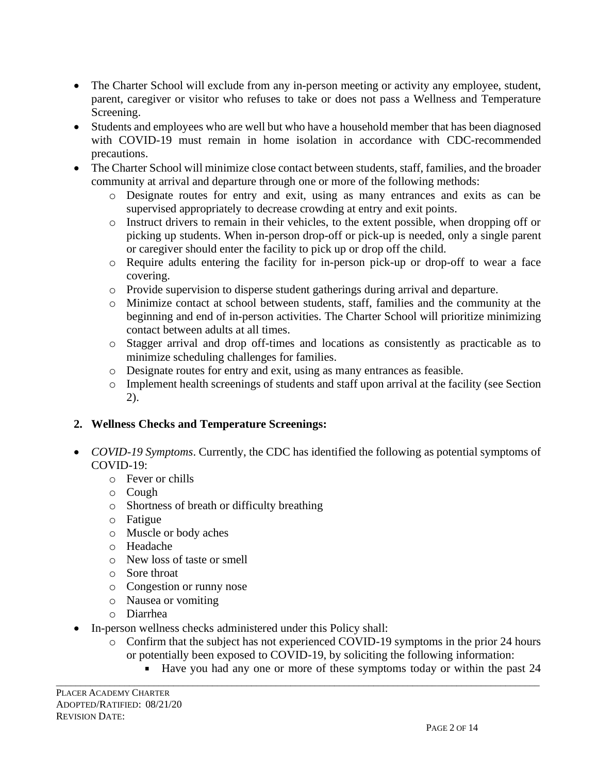- The Charter School will exclude from any in-person meeting or activity any employee, student, parent, caregiver or visitor who refuses to take or does not pass a Wellness and Temperature Screening.
- Students and employees who are well but who have a household member that has been diagnosed with COVID-19 must remain in home isolation in accordance with CDC-recommended precautions.
- The Charter School will minimize close contact between students, staff, families, and the broader community at arrival and departure through one or more of the following methods:
	- o Designate routes for entry and exit, using as many entrances and exits as can be supervised appropriately to decrease crowding at entry and exit points.
	- o Instruct drivers to remain in their vehicles, to the extent possible, when dropping off or picking up students. When in-person drop-off or pick-up is needed, only a single parent or caregiver should enter the facility to pick up or drop off the child.
	- o Require adults entering the facility for in-person pick-up or drop-off to wear a face covering.
	- o Provide supervision to disperse student gatherings during arrival and departure.
	- o Minimize contact at school between students, staff, families and the community at the beginning and end of in-person activities. The Charter School will prioritize minimizing contact between adults at all times.
	- o Stagger arrival and drop off-times and locations as consistently as practicable as to minimize scheduling challenges for families.
	- o Designate routes for entry and exit, using as many entrances as feasible.
	- o Implement health screenings of students and staff upon arrival at the facility (see Section 2).

## **2. Wellness Checks and Temperature Screenings:**

- *COVID-19 Symptoms*. Currently, the CDC has identified the following as potential symptoms of COVID-19:
	- o Fever or chills
	- o Cough
	- o Shortness of breath or difficulty breathing
	- o Fatigue
	- o Muscle or body aches
	- o Headache
	- o New loss of taste or smell
	- o Sore throat
	- o Congestion or runny nose
	- o Nausea or vomiting
	- o Diarrhea
- In-person wellness checks administered under this Policy shall:
	- o Confirm that the subject has not experienced COVID-19 symptoms in the prior 24 hours or potentially been exposed to COVID-19, by soliciting the following information:

\_\_\_\_\_\_\_\_\_\_\_\_\_\_\_\_\_\_\_\_\_\_\_\_\_\_\_\_\_\_\_\_\_\_\_\_\_\_\_\_\_\_\_\_\_\_\_\_\_\_\_\_\_\_\_\_\_\_\_\_\_\_\_\_\_\_\_\_\_\_\_\_\_\_\_\_\_\_\_\_\_\_\_\_\_\_\_\_\_\_\_\_\_\_\_\_\_\_\_

Have you had any one or more of these symptoms today or within the past 24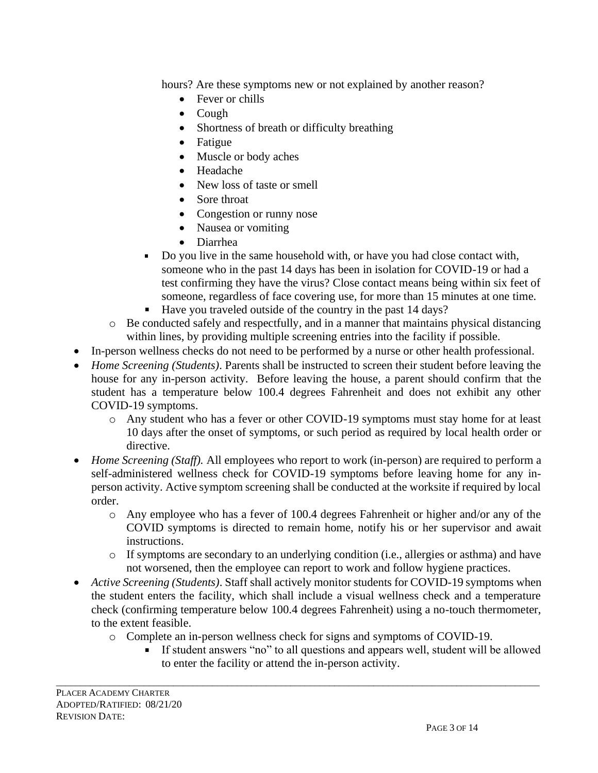hours? Are these symptoms new or not explained by another reason?

- Fever or chills
- Cough
- Shortness of breath or difficulty breathing
- Fatigue
- Muscle or body aches
- Headache
- New loss of taste or smell
- Sore throat
- Congestion or runny nose
- Nausea or vomiting
- Diarrhea
- Do you live in the same household with, or have you had close contact with,  $\blacksquare$ someone who in the past 14 days has been in isolation for COVID-19 or had a test confirming they have the virus? Close contact means being within six feet of someone, regardless of face covering use, for more than 15 minutes at one time.
- Have you traveled outside of the country in the past 14 days?
- o Be conducted safely and respectfully, and in a manner that maintains physical distancing within lines, by providing multiple screening entries into the facility if possible.
- In-person wellness checks do not need to be performed by a nurse or other health professional.
- *Home Screening (Students)*. Parents shall be instructed to screen their student before leaving the house for any in-person activity. Before leaving the house, a parent should confirm that the student has a temperature below 100.4 degrees Fahrenheit and does not exhibit any other COVID-19 symptoms.
	- o Any student who has a fever or other COVID-19 symptoms must stay home for at least 10 days after the onset of symptoms, or such period as required by local health order or directive.
- *Home Screening (Staff)*. All employees who report to work (in-person) are required to perform a self-administered wellness check for COVID-19 symptoms before leaving home for any inperson activity. Active symptom screening shall be conducted at the worksite if required by local order.
	- o Any employee who has a fever of 100.4 degrees Fahrenheit or higher and/or any of the COVID symptoms is directed to remain home, notify his or her supervisor and await instructions.
	- o If symptoms are secondary to an underlying condition (i.e., allergies or asthma) and have not worsened, then the employee can report to work and follow hygiene practices.
- *Active Screening (Students)*. Staff shall actively monitor students for COVID-19 symptoms when the student enters the facility, which shall include a visual wellness check and a temperature check (confirming temperature below 100.4 degrees Fahrenheit) using a no-touch thermometer, to the extent feasible.
	- o Complete an in-person wellness check for signs and symptoms of COVID-19.

\_\_\_\_\_\_\_\_\_\_\_\_\_\_\_\_\_\_\_\_\_\_\_\_\_\_\_\_\_\_\_\_\_\_\_\_\_\_\_\_\_\_\_\_\_\_\_\_\_\_\_\_\_\_\_\_\_\_\_\_\_\_\_\_\_\_\_\_\_\_\_\_\_\_\_\_\_\_\_\_\_\_\_\_\_\_\_\_\_\_\_\_\_\_\_\_\_\_\_

If student answers "no" to all questions and appears well, student will be allowed to enter the facility or attend the in-person activity.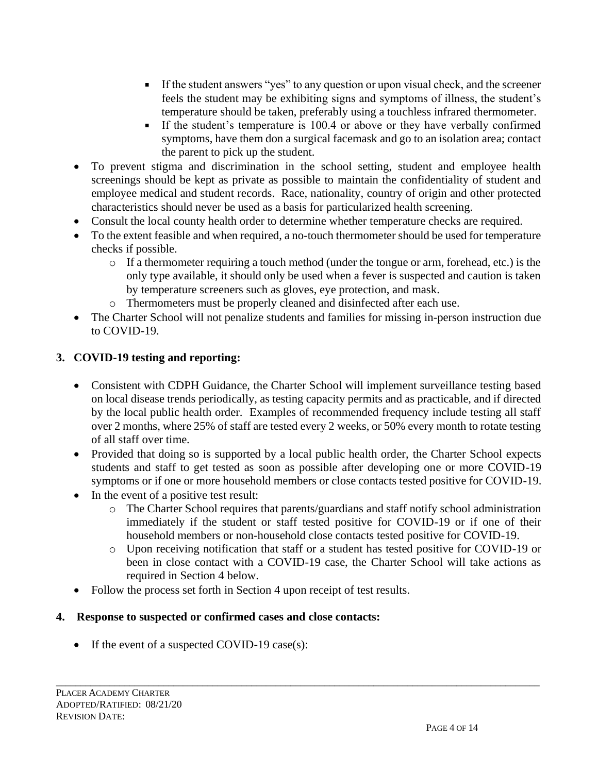- If the student answers "yes" to any question or upon visual check, and the screener feels the student may be exhibiting signs and symptoms of illness, the student's temperature should be taken, preferably using a touchless infrared thermometer.
- If the student's temperature is 100.4 or above or they have verbally confirmed symptoms, have them don a surgical facemask and go to an isolation area; contact the parent to pick up the student.
- To prevent stigma and discrimination in the school setting, student and employee health screenings should be kept as private as possible to maintain the confidentiality of student and employee medical and student records. Race, nationality, country of origin and other protected characteristics should never be used as a basis for particularized health screening.
- Consult the local county health order to determine whether temperature checks are required.
- To the extent feasible and when required, a no-touch thermometer should be used for temperature checks if possible.
	- o If a thermometer requiring a touch method (under the tongue or arm, forehead, etc.) is the only type available, it should only be used when a fever is suspected and caution is taken by temperature screeners such as gloves, eye protection, and mask.
	- o Thermometers must be properly cleaned and disinfected after each use.
- The Charter School will not penalize students and families for missing in-person instruction due to COVID-19.

## **3. COVID-19 testing and reporting:**

- Consistent with CDPH Guidance, the Charter School will implement surveillance testing based on local disease trends periodically, as testing capacity permits and as practicable, and if directed by the local public health order. Examples of recommended frequency include testing all staff over 2 months, where 25% of staff are tested every 2 weeks, or 50% every month to rotate testing of all staff over time.
- Provided that doing so is supported by a local public health order, the Charter School expects students and staff to get tested as soon as possible after developing one or more COVID-19 symptoms or if one or more household members or close contacts tested positive for COVID-19.
- In the event of a positive test result:
	- o The Charter School requires that parents/guardians and staff notify school administration immediately if the student or staff tested positive for COVID-19 or if one of their household members or non-household close contacts tested positive for COVID-19.
	- o Upon receiving notification that staff or a student has tested positive for COVID-19 or been in close contact with a COVID-19 case, the Charter School will take actions as required in Section 4 below.
- Follow the process set forth in Section 4 upon receipt of test results.

## **4. Response to suspected or confirmed cases and close contacts:**

• If the event of a suspected COVID-19 case(s):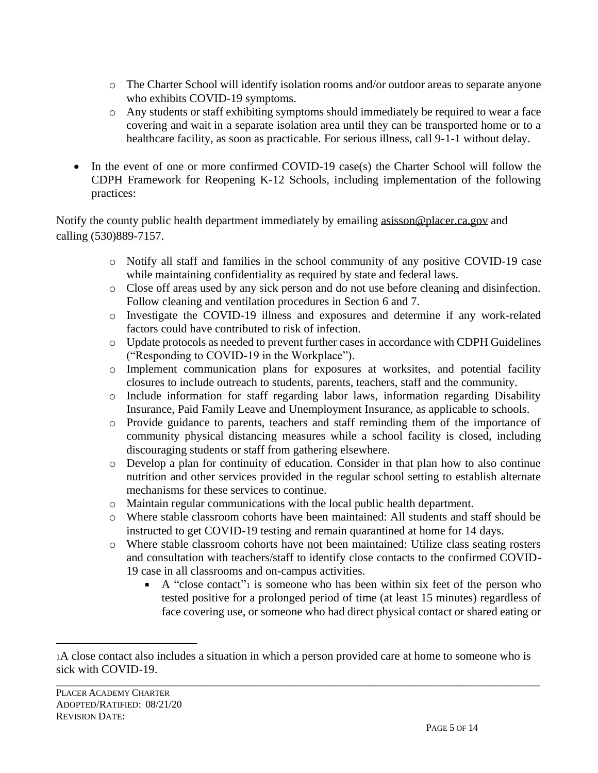- o The Charter School will identify isolation rooms and/or outdoor areas to separate anyone who exhibits COVID-19 symptoms.
- o Any students or staff exhibiting symptoms should immediately be required to wear a face covering and wait in a separate isolation area until they can be transported home or to a healthcare facility, as soon as practicable. For serious illness, call 9-1-1 without delay.
- In the event of one or more confirmed COVID-19 case(s) the Charter School will follow the CDPH Framework for Reopening K-12 Schools, including implementation of the following practices:

Notify the county public health department immediately by emailing [asisson@placer.ca.gov](mailto:asisson@placer.ca.gov) and calling (530)889-7157.

- o Notify all staff and families in the school community of any positive COVID-19 case while maintaining confidentiality as required by state and federal laws.
- o Close off areas used by any sick person and do not use before cleaning and disinfection. Follow cleaning and ventilation procedures in Section 6 and 7.
- o Investigate the COVID-19 illness and exposures and determine if any work-related factors could have contributed to risk of infection.
- o Update protocols as needed to prevent further cases in accordance with CDPH Guidelines ("Responding to COVID-19 in the Workplace").
- o Implement communication plans for exposures at worksites, and potential facility closures to include outreach to students, parents, teachers, staff and the community.
- o Include information for staff regarding labor laws, information regarding Disability Insurance, Paid Family Leave and Unemployment Insurance, as applicable to schools.
- o Provide guidance to parents, teachers and staff reminding them of the importance of community physical distancing measures while a school facility is closed, including discouraging students or staff from gathering elsewhere.
- o Develop a plan for continuity of education. Consider in that plan how to also continue nutrition and other services provided in the regular school setting to establish alternate mechanisms for these services to continue.
- o Maintain regular communications with the local public health department.
- o Where stable classroom cohorts have been maintained: All students and staff should be instructed to get COVID-19 testing and remain quarantined at home for 14 days.
- o Where stable classroom cohorts have not been maintained: Utilize class seating rosters and consultation with teachers/staff to identify close contacts to the confirmed COVID-19 case in all classrooms and on-campus activities.
	- A "close contact"<sup>1</sup> is someone who has been within six feet of the person who tested positive for a prolonged period of time (at least 15 minutes) regardless of face covering use, or someone who had direct physical contact or shared eating or

<sup>1</sup>A close contact also includes a situation in which a person provided care at home to someone who is sick with COVID-19.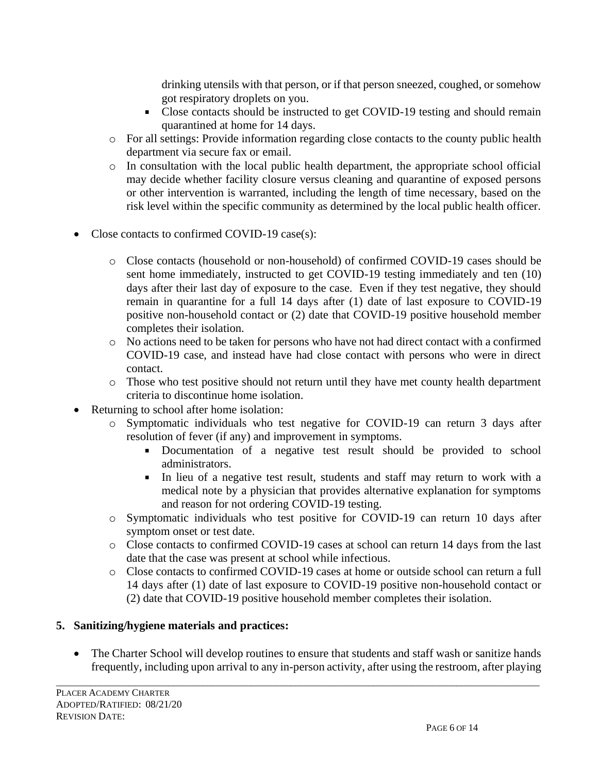drinking utensils with that person, or if that person sneezed, coughed, or somehow got respiratory droplets on you.

- Close contacts should be instructed to get COVID-19 testing and should remain quarantined at home for 14 days.
- o For all settings: Provide information regarding close contacts to the county public health department via secure fax or email.
- o In consultation with the local public health department, the appropriate school official may decide whether facility closure versus cleaning and quarantine of exposed persons or other intervention is warranted, including the length of time necessary, based on the risk level within the specific community as determined by the local public health officer.
- Close contacts to confirmed COVID-19 case(s):
	- o Close contacts (household or non-household) of confirmed COVID-19 cases should be sent home immediately, instructed to get COVID-19 testing immediately and ten (10) days after their last day of exposure to the case. Even if they test negative, they should remain in quarantine for a full 14 days after (1) date of last exposure to COVID-19 positive non-household contact or (2) date that COVID-19 positive household member completes their isolation.
	- o No actions need to be taken for persons who have not had direct contact with a confirmed COVID-19 case, and instead have had close contact with persons who were in direct contact.
	- o Those who test positive should not return until they have met county health department criteria to discontinue home isolation.
- Returning to school after home isolation:
	- o Symptomatic individuals who test negative for COVID-19 can return 3 days after resolution of fever (if any) and improvement in symptoms.
		- Documentation of a negative test result should be provided to school administrators.
		- In lieu of a negative test result, students and staff may return to work with a medical note by a physician that provides alternative explanation for symptoms and reason for not ordering COVID-19 testing.
	- o Symptomatic individuals who test positive for COVID-19 can return 10 days after symptom onset or test date.
	- o Close contacts to confirmed COVID-19 cases at school can return 14 days from the last date that the case was present at school while infectious.
	- o Close contacts to confirmed COVID-19 cases at home or outside school can return a full 14 days after (1) date of last exposure to COVID-19 positive non-household contact or (2) date that COVID-19 positive household member completes their isolation.

## **5. Sanitizing/hygiene materials and practices:**

• The Charter School will develop routines to ensure that students and staff wash or sanitize hands frequently, including upon arrival to any in-person activity, after using the restroom, after playing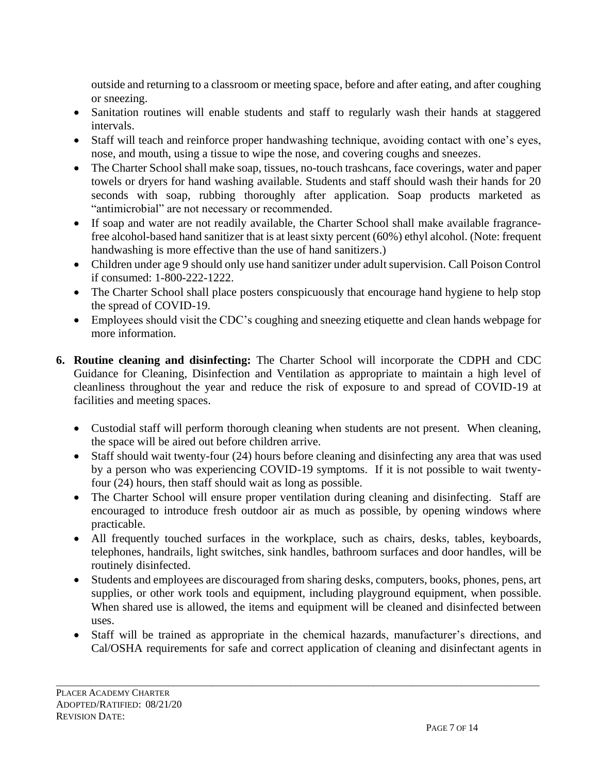outside and returning to a classroom or meeting space, before and after eating, and after coughing or sneezing.

- Sanitation routines will enable students and staff to regularly wash their hands at staggered intervals.
- Staff will teach and reinforce proper handwashing technique, avoiding contact with one's eyes, nose, and mouth, using a tissue to wipe the nose, and covering coughs and sneezes.
- The Charter School shall make soap, tissues, no-touch trashcans, face coverings, water and paper towels or dryers for hand washing available. Students and staff should wash their hands for 20 seconds with soap, rubbing thoroughly after application. Soap products marketed as "antimicrobial" are not necessary or recommended.
- If soap and water are not readily available, the Charter School shall make available fragrancefree alcohol-based hand sanitizer that is at least sixty percent (60%) ethyl alcohol. (Note: frequent handwashing is more effective than the use of hand sanitizers.)
- Children under age 9 should only use hand sanitizer under adult supervision. Call Poison Control if consumed: 1-800-222-1222.
- The Charter School shall place posters conspicuously that encourage hand hygiene to help stop the spread of COVID-19.
- Employees should visit the CDC's coughing and sneezing etiquette and clean hands webpage for more information.
- **6. Routine cleaning and disinfecting:** The Charter School will incorporate the CDPH and CDC Guidance for Cleaning, Disinfection and Ventilation as appropriate to maintain a high level of cleanliness throughout the year and reduce the risk of exposure to and spread of COVID-19 at facilities and meeting spaces.
	- Custodial staff will perform thorough cleaning when students are not present. When cleaning, the space will be aired out before children arrive.
	- Staff should wait twenty-four (24) hours before cleaning and disinfecting any area that was used by a person who was experiencing COVID-19 symptoms. If it is not possible to wait twentyfour (24) hours, then staff should wait as long as possible.
	- The Charter School will ensure proper ventilation during cleaning and disinfecting. Staff are encouraged to introduce fresh outdoor air as much as possible, by opening windows where practicable.
	- All frequently touched surfaces in the workplace, such as chairs, desks, tables, keyboards, telephones, handrails, light switches, sink handles, bathroom surfaces and door handles, will be routinely disinfected.
	- Students and employees are discouraged from sharing desks, computers, books, phones, pens, art supplies, or other work tools and equipment, including playground equipment, when possible. When shared use is allowed, the items and equipment will be cleaned and disinfected between uses.
	- Staff will be trained as appropriate in the chemical hazards, manufacturer's directions, and Cal/OSHA requirements for safe and correct application of cleaning and disinfectant agents in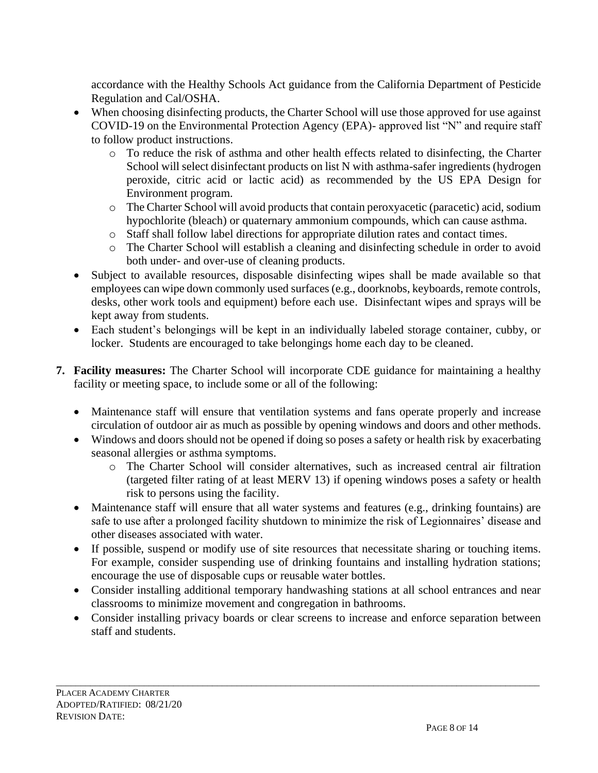accordance with the Healthy Schools Act guidance from the California Department of Pesticide Regulation and Cal/OSHA.

- When choosing disinfecting products, the Charter School will use those approved for use against COVID-19 on the Environmental Protection Agency (EPA)- approved list "N" and require staff to follow product instructions.
	- $\circ$  To reduce the risk of asthma and other health effects related to disinfecting, the Charter School will select disinfectant products on list N with asthma-safer ingredients (hydrogen peroxide, citric acid or lactic acid) as recommended by the US EPA Design for Environment program.
	- o The Charter School will avoid products that contain peroxyacetic (paracetic) acid, sodium hypochlorite (bleach) or quaternary ammonium compounds, which can cause asthma.
	- o Staff shall follow label directions for appropriate dilution rates and contact times.
	- o The Charter School will establish a cleaning and disinfecting schedule in order to avoid both under- and over-use of cleaning products.
- Subject to available resources, disposable disinfecting wipes shall be made available so that employees can wipe down commonly used surfaces (e.g., doorknobs, keyboards, remote controls, desks, other work tools and equipment) before each use. Disinfectant wipes and sprays will be kept away from students.
- Each student's belongings will be kept in an individually labeled storage container, cubby, or locker. Students are encouraged to take belongings home each day to be cleaned.
- **7. Facility measures:** The Charter School will incorporate CDE guidance for maintaining a healthy facility or meeting space, to include some or all of the following:
	- Maintenance staff will ensure that ventilation systems and fans operate properly and increase circulation of outdoor air as much as possible by opening windows and doors and other methods.
	- Windows and doors should not be opened if doing so poses a safety or health risk by exacerbating seasonal allergies or asthma symptoms.
		- o The Charter School will consider alternatives, such as increased central air filtration (targeted filter rating of at least MERV 13) if opening windows poses a safety or health risk to persons using the facility.
	- Maintenance staff will ensure that all water systems and features (e.g., drinking fountains) are safe to use after a prolonged facility shutdown to minimize the risk of Legionnaires' disease and other diseases associated with water.
	- If possible, suspend or modify use of site resources that necessitate sharing or touching items. For example, consider suspending use of drinking fountains and installing hydration stations; encourage the use of disposable cups or reusable water bottles.
	- Consider installing additional temporary handwashing stations at all school entrances and near classrooms to minimize movement and congregation in bathrooms.
	- Consider installing privacy boards or clear screens to increase and enforce separation between staff and students.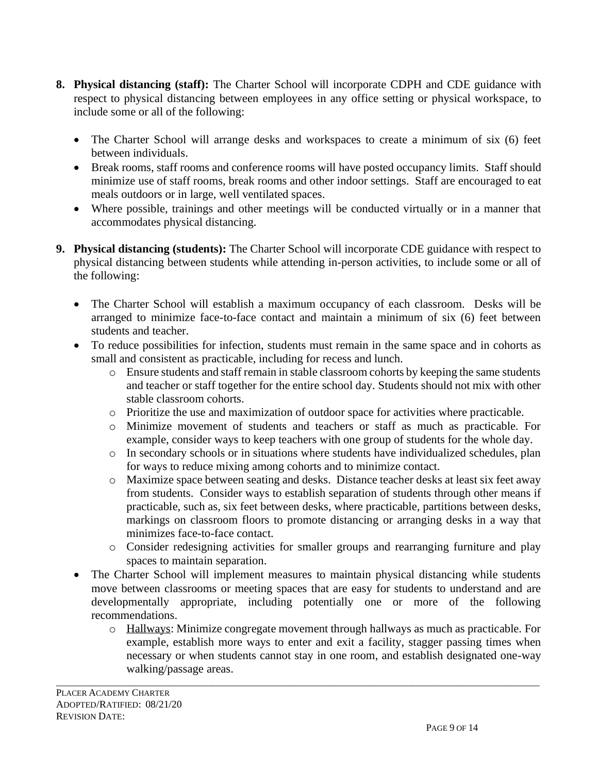- **8. Physical distancing (staff):** The Charter School will incorporate CDPH and CDE guidance with respect to physical distancing between employees in any office setting or physical workspace, to include some or all of the following:
	- The Charter School will arrange desks and workspaces to create a minimum of six (6) feet between individuals.
	- Break rooms, staff rooms and conference rooms will have posted occupancy limits. Staff should minimize use of staff rooms, break rooms and other indoor settings. Staff are encouraged to eat meals outdoors or in large, well ventilated spaces.
	- Where possible, trainings and other meetings will be conducted virtually or in a manner that accommodates physical distancing.
- **9. Physical distancing (students):** The Charter School will incorporate CDE guidance with respect to physical distancing between students while attending in-person activities, to include some or all of the following:
	- The Charter School will establish a maximum occupancy of each classroom. Desks will be arranged to minimize face-to-face contact and maintain a minimum of six (6) feet between students and teacher.
	- To reduce possibilities for infection, students must remain in the same space and in cohorts as small and consistent as practicable, including for recess and lunch.
		- o Ensure students and staff remain in stable classroom cohorts by keeping the same students and teacher or staff together for the entire school day. Students should not mix with other stable classroom cohorts.
		- o Prioritize the use and maximization of outdoor space for activities where practicable.
		- o Minimize movement of students and teachers or staff as much as practicable. For example, consider ways to keep teachers with one group of students for the whole day.
		- o In secondary schools or in situations where students have individualized schedules, plan for ways to reduce mixing among cohorts and to minimize contact.
		- o Maximize space between seating and desks. Distance teacher desks at least six feet away from students. Consider ways to establish separation of students through other means if practicable, such as, six feet between desks, where practicable, partitions between desks, markings on classroom floors to promote distancing or arranging desks in a way that minimizes face-to-face contact.
		- o Consider redesigning activities for smaller groups and rearranging furniture and play spaces to maintain separation.
	- The Charter School will implement measures to maintain physical distancing while students move between classrooms or meeting spaces that are easy for students to understand and are developmentally appropriate, including potentially one or more of the following recommendations.
		- o Hallways: Minimize congregate movement through hallways as much as practicable. For example, establish more ways to enter and exit a facility, stagger passing times when necessary or when students cannot stay in one room, and establish designated one-way walking/passage areas.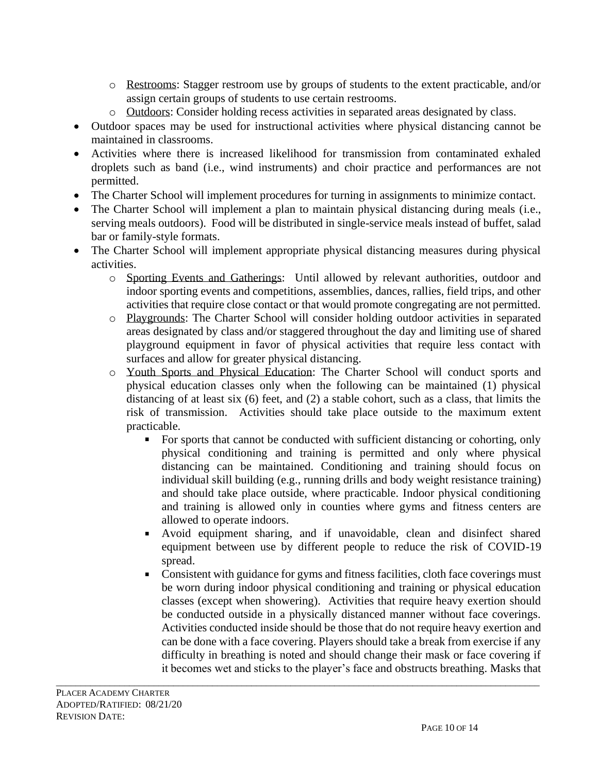- o Restrooms: Stagger restroom use by groups of students to the extent practicable, and/or assign certain groups of students to use certain restrooms.
- o Outdoors: Consider holding recess activities in separated areas designated by class.
- Outdoor spaces may be used for instructional activities where physical distancing cannot be maintained in classrooms.
- Activities where there is increased likelihood for transmission from contaminated exhaled droplets such as band (i.e., wind instruments) and choir practice and performances are not permitted.
- The Charter School will implement procedures for turning in assignments to minimize contact.
- The Charter School will implement a plan to maintain physical distancing during meals (i.e., serving meals outdoors). Food will be distributed in single-service meals instead of buffet, salad bar or family-style formats.
- The Charter School will implement appropriate physical distancing measures during physical activities.
	- o Sporting Events and Gatherings: Until allowed by relevant authorities, outdoor and indoor sporting events and competitions, assemblies, dances, rallies, field trips, and other activities that require close contact or that would promote congregating are not permitted.
	- o Playgrounds: The Charter School will consider holding outdoor activities in separated areas designated by class and/or staggered throughout the day and limiting use of shared playground equipment in favor of physical activities that require less contact with surfaces and allow for greater physical distancing.
	- o Youth Sports and Physical Education: The Charter School will conduct sports and physical education classes only when the following can be maintained (1) physical distancing of at least six (6) feet, and (2) a stable cohort, such as a class, that limits the risk of transmission. Activities should take place outside to the maximum extent practicable.
		- $\blacksquare$ For sports that cannot be conducted with sufficient distancing or cohorting, only physical conditioning and training is permitted and only where physical distancing can be maintained. Conditioning and training should focus on individual skill building (e.g., running drills and body weight resistance training) and should take place outside, where practicable. Indoor physical conditioning and training is allowed only in counties where gyms and fitness centers are allowed to operate indoors.
		- Avoid equipment sharing, and if unavoidable, clean and disinfect shared equipment between use by different people to reduce the risk of COVID-19 spread.
		- Consistent with guidance for gyms and fitness facilities, cloth face coverings must be worn during indoor physical conditioning and training or physical education classes (except when showering). Activities that require heavy exertion should be conducted outside in a physically distanced manner without face coverings. Activities conducted inside should be those that do not require heavy exertion and can be done with a face covering. Players should take a break from exercise if any difficulty in breathing is noted and should change their mask or face covering if it becomes wet and sticks to the player's face and obstructs breathing. Masks that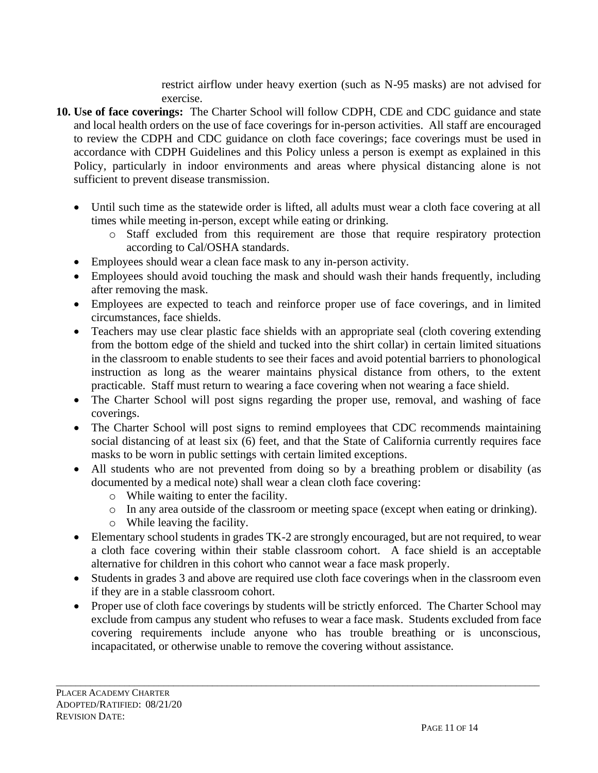restrict airflow under heavy exertion (such as N-95 masks) are not advised for exercise.

- **10. Use of face coverings:** The Charter School will follow CDPH, CDE and CDC guidance and state and local health orders on the use of face coverings for in-person activities. All staff are encouraged to review the CDPH and CDC guidance on cloth face coverings; face coverings must be used in accordance with CDPH Guidelines and this Policy unless a person is exempt as explained in this Policy, particularly in indoor environments and areas where physical distancing alone is not sufficient to prevent disease transmission.
	- Until such time as the statewide order is lifted, all adults must wear a cloth face covering at all times while meeting in-person, except while eating or drinking.
		- o Staff excluded from this requirement are those that require respiratory protection according to Cal/OSHA standards.
	- Employees should wear a clean face mask to any in-person activity.
	- Employees should avoid touching the mask and should wash their hands frequently, including after removing the mask.
	- Employees are expected to teach and reinforce proper use of face coverings, and in limited circumstances, face shields.
	- Teachers may use clear plastic face shields with an appropriate seal (cloth covering extending from the bottom edge of the shield and tucked into the shirt collar) in certain limited situations in the classroom to enable students to see their faces and avoid potential barriers to phonological instruction as long as the wearer maintains physical distance from others, to the extent practicable. Staff must return to wearing a face covering when not wearing a face shield.
	- The Charter School will post signs regarding the proper use, removal, and washing of face coverings.
	- The Charter School will post signs to remind employees that CDC recommends maintaining social distancing of at least six (6) feet, and that the State of California currently requires face masks to be worn in public settings with certain limited exceptions.
	- All students who are not prevented from doing so by a breathing problem or disability (as documented by a medical note) shall wear a clean cloth face covering:
		- o While waiting to enter the facility.
		- o In any area outside of the classroom or meeting space (except when eating or drinking).
		- o While leaving the facility.
	- Elementary school students in grades TK-2 are strongly encouraged, but are not required, to wear a cloth face covering within their stable classroom cohort. A face shield is an acceptable alternative for children in this cohort who cannot wear a face mask properly.
	- Students in grades 3 and above are required use cloth face coverings when in the classroom even if they are in a stable classroom cohort.
	- Proper use of cloth face coverings by students will be strictly enforced. The Charter School may exclude from campus any student who refuses to wear a face mask. Students excluded from face covering requirements include anyone who has trouble breathing or is unconscious, incapacitated, or otherwise unable to remove the covering without assistance.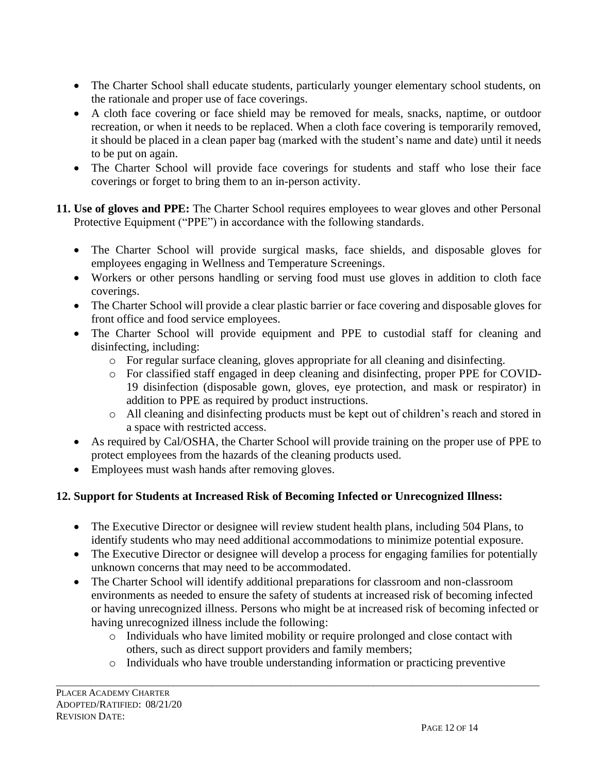- The Charter School shall educate students, particularly younger elementary school students, on the rationale and proper use of face coverings.
- A cloth face covering or face shield may be removed for meals, snacks, naptime, or outdoor recreation, or when it needs to be replaced. When a cloth face covering is temporarily removed, it should be placed in a clean paper bag (marked with the student's name and date) until it needs to be put on again.
- The Charter School will provide face coverings for students and staff who lose their face coverings or forget to bring them to an in-person activity.
- **11. Use of gloves and PPE:** The Charter School requires employees to wear gloves and other Personal Protective Equipment ("PPE") in accordance with the following standards.
	- The Charter School will provide surgical masks, face shields, and disposable gloves for employees engaging in Wellness and Temperature Screenings.
	- Workers or other persons handling or serving food must use gloves in addition to cloth face coverings.
	- The Charter School will provide a clear plastic barrier or face covering and disposable gloves for front office and food service employees.
	- The Charter School will provide equipment and PPE to custodial staff for cleaning and disinfecting, including:
		- o For regular surface cleaning, gloves appropriate for all cleaning and disinfecting.
		- o For classified staff engaged in deep cleaning and disinfecting, proper PPE for COVID-19 disinfection (disposable gown, gloves, eye protection, and mask or respirator) in addition to PPE as required by product instructions.
		- o All cleaning and disinfecting products must be kept out of children's reach and stored in a space with restricted access.
	- As required by Cal/OSHA, the Charter School will provide training on the proper use of PPE to protect employees from the hazards of the cleaning products used.
	- Employees must wash hands after removing gloves.

# **12. Support for Students at Increased Risk of Becoming Infected or Unrecognized Illness:**

- The Executive Director or designee will review student health plans, including 504 Plans, to identify students who may need additional accommodations to minimize potential exposure.
- The Executive Director or designee will develop a process for engaging families for potentially unknown concerns that may need to be accommodated.
- The Charter School will identify additional preparations for classroom and non-classroom environments as needed to ensure the safety of students at increased risk of becoming infected or having unrecognized illness. Persons who might be at increased risk of becoming infected or having unrecognized illness include the following:
	- o Individuals who have limited mobility or require prolonged and close contact with others, such as direct support providers and family members;
	- o Individuals who have trouble understanding information or practicing preventive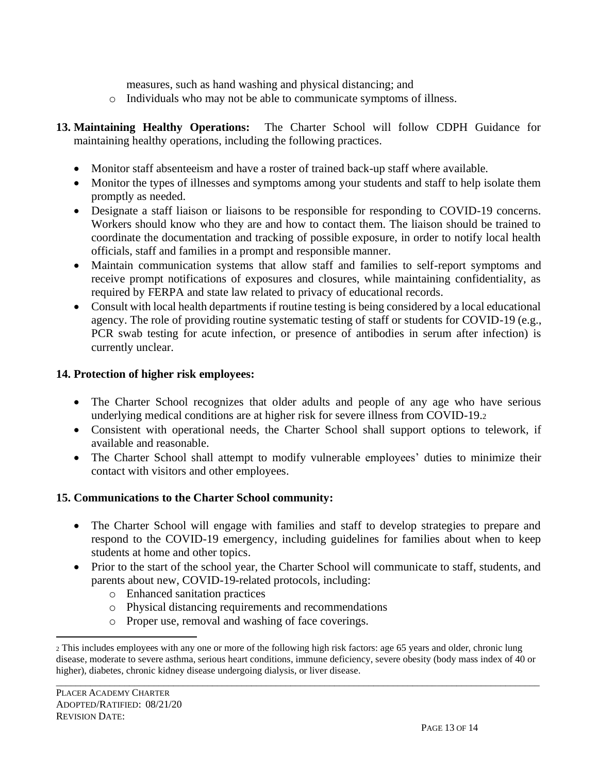measures, such as hand washing and physical distancing; and

- o Individuals who may not be able to communicate symptoms of illness.
- **13. Maintaining Healthy Operations:** The Charter School will follow CDPH Guidance for maintaining healthy operations, including the following practices.
	- Monitor staff absenteeism and have a roster of trained back-up staff where available.
	- Monitor the types of illnesses and symptoms among your students and staff to help isolate them promptly as needed.
	- Designate a staff liaison or liaisons to be responsible for responding to COVID-19 concerns. Workers should know who they are and how to contact them. The liaison should be trained to coordinate the documentation and tracking of possible exposure, in order to notify local health officials, staff and families in a prompt and responsible manner.
	- Maintain communication systems that allow staff and families to self-report symptoms and receive prompt notifications of exposures and closures, while maintaining confidentiality, as required by FERPA and state law related to privacy of educational records.
	- Consult with local health departments if routine testing is being considered by a local educational agency. The role of providing routine systematic testing of staff or students for COVID-19 (e.g., PCR swab testing for acute infection, or presence of antibodies in serum after infection) is currently unclear.

#### **14. Protection of higher risk employees:**

- The Charter School recognizes that older adults and people of any age who have serious underlying medical conditions are at higher risk for severe illness from COVID-19.<sup>2</sup>
- Consistent with operational needs, the Charter School shall support options to telework, if available and reasonable.
- The Charter School shall attempt to modify vulnerable employees' duties to minimize their contact with visitors and other employees.

## **15. Communications to the Charter School community:**

- The Charter School will engage with families and staff to develop strategies to prepare and respond to the COVID-19 emergency, including guidelines for families about when to keep students at home and other topics.
- Prior to the start of the school year, the Charter School will communicate to staff, students, and parents about new, COVID-19-related protocols, including:
	- o Enhanced sanitation practices
	- o Physical distancing requirements and recommendations
	- o Proper use, removal and washing of face coverings.

<sup>2</sup> This includes employees with any one or more of the following high risk factors: age 65 years and older, chronic lung disease, moderate to severe asthma, serious heart conditions, immune deficiency, severe obesity (body mass index of 40 or higher), diabetes, chronic kidney disease undergoing dialysis, or liver disease.